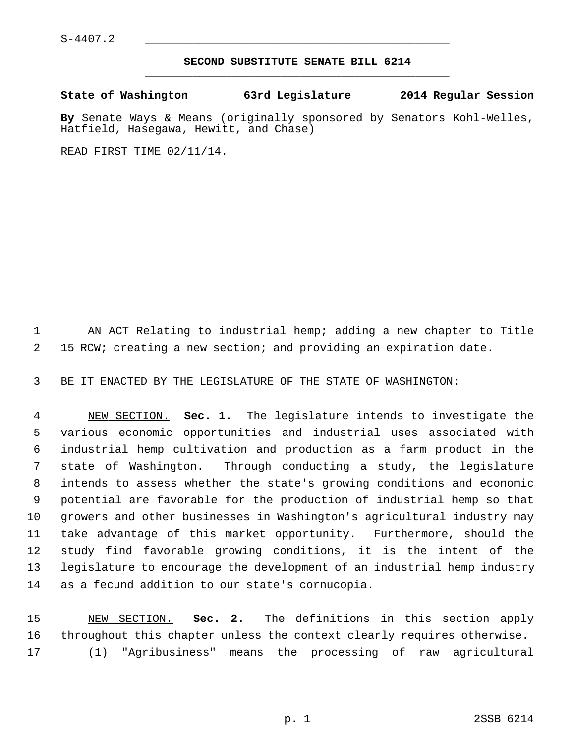$S-4407.2$ 

## **SECOND SUBSTITUTE SENATE BILL 6214** \_\_\_\_\_\_\_\_\_\_\_\_\_\_\_\_\_\_\_\_\_\_\_\_\_\_\_\_\_\_\_\_\_\_\_\_\_\_\_\_\_\_\_\_\_

**State of Washington 63rd Legislature 2014 Regular Session**

**By** Senate Ways & Means (originally sponsored by Senators Kohl-Welles, Hatfield, Hasegawa, Hewitt, and Chase)

READ FIRST TIME 02/11/14.

 1 AN ACT Relating to industrial hemp; adding a new chapter to Title 2 15 RCW; creating a new section; and providing an expiration date.

3 BE IT ENACTED BY THE LEGISLATURE OF THE STATE OF WASHINGTON:

 4 NEW SECTION. **Sec. 1.** The legislature intends to investigate the 5 various economic opportunities and industrial uses associated with 6 industrial hemp cultivation and production as a farm product in the 7 state of Washington. Through conducting a study, the legislature 8 intends to assess whether the state's growing conditions and economic 9 potential are favorable for the production of industrial hemp so that 10 growers and other businesses in Washington's agricultural industry may 11 take advantage of this market opportunity. Furthermore, should the 12 study find favorable growing conditions, it is the intent of the 13 legislature to encourage the development of an industrial hemp industry 14 as a fecund addition to our state's cornucopia.

15 NEW SECTION. **Sec. 2.** The definitions in this section apply 16 throughout this chapter unless the context clearly requires otherwise. 17 (1) "Agribusiness" means the processing of raw agricultural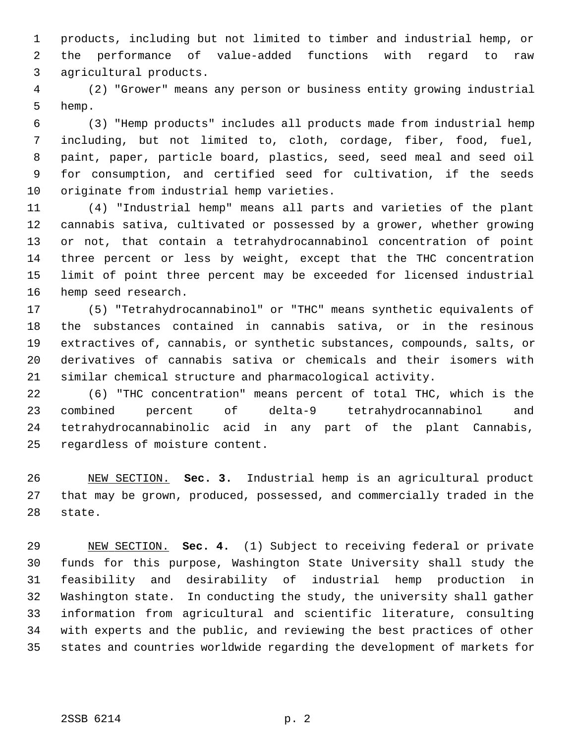1 products, including but not limited to timber and industrial hemp, or 2 the performance of value-added functions with regard to raw 3 agricultural products.

 4 (2) "Grower" means any person or business entity growing industrial 5 hemp.

 6 (3) "Hemp products" includes all products made from industrial hemp 7 including, but not limited to, cloth, cordage, fiber, food, fuel, 8 paint, paper, particle board, plastics, seed, seed meal and seed oil 9 for consumption, and certified seed for cultivation, if the seeds 10 originate from industrial hemp varieties.

11 (4) "Industrial hemp" means all parts and varieties of the plant 12 cannabis sativa, cultivated or possessed by a grower, whether growing 13 or not, that contain a tetrahydrocannabinol concentration of point 14 three percent or less by weight, except that the THC concentration 15 limit of point three percent may be exceeded for licensed industrial 16 hemp seed research.

17 (5) "Tetrahydrocannabinol" or "THC" means synthetic equivalents of 18 the substances contained in cannabis sativa, or in the resinous 19 extractives of, cannabis, or synthetic substances, compounds, salts, or 20 derivatives of cannabis sativa or chemicals and their isomers with 21 similar chemical structure and pharmacological activity.

22 (6) "THC concentration" means percent of total THC, which is the 23 combined percent of delta-9 tetrahydrocannabinol and 24 tetrahydrocannabinolic acid in any part of the plant Cannabis, 25 regardless of moisture content.

26 NEW SECTION. **Sec. 3.** Industrial hemp is an agricultural product 27 that may be grown, produced, possessed, and commercially traded in the 28 state.

29 NEW SECTION. **Sec. 4.** (1) Subject to receiving federal or private 30 funds for this purpose, Washington State University shall study the 31 feasibility and desirability of industrial hemp production in 32 Washington state. In conducting the study, the university shall gather 33 information from agricultural and scientific literature, consulting 34 with experts and the public, and reviewing the best practices of other 35 states and countries worldwide regarding the development of markets for